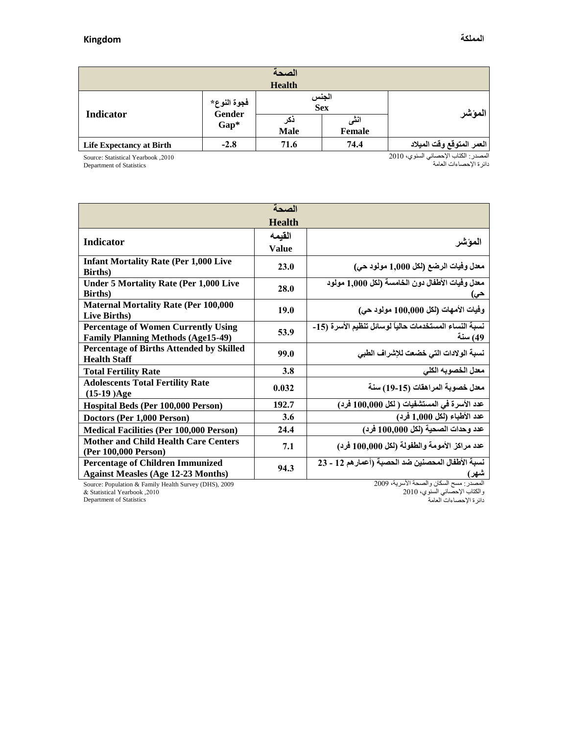| الصحة                           |                                        |                    |                |                           |  |  |  |  |
|---------------------------------|----------------------------------------|--------------------|----------------|---------------------------|--|--|--|--|
| <b>Health</b>                   |                                        |                    |                |                           |  |  |  |  |
| <b>Indicator</b>                | فجوة النوع*<br><b>Gender</b><br>$Gap*$ | الجنس<br>Sex       |                | المؤشر                    |  |  |  |  |
|                                 |                                        | دکر<br><b>Male</b> | انٹی<br>Female |                           |  |  |  |  |
| <b>Life Expectancy at Birth</b> | $-2.8$                                 | 71.6               | 74.4           | العمر المتوقع وقت الميلاد |  |  |  |  |

Source: Statistical Yearbook ,2010

Department of Statistics

المصدر : الكتاب الإحصائي السنوي، 2010 دائرة اإلحصاءات العامة

| الصحة                                                                                   |               |                                                                   |  |  |  |  |  |
|-----------------------------------------------------------------------------------------|---------------|-------------------------------------------------------------------|--|--|--|--|--|
|                                                                                         | <b>Health</b> |                                                                   |  |  |  |  |  |
|                                                                                         | القيمه        | الموشر                                                            |  |  |  |  |  |
| <b>Indicator</b>                                                                        | <b>Value</b>  |                                                                   |  |  |  |  |  |
| <b>Infant Mortality Rate (Per 1,000 Live)</b><br><b>Births</b> )                        | 23.0          | معدل وفيات الرضع (لكل 1,000 مولود حي)                             |  |  |  |  |  |
| <b>Under 5 Mortality Rate (Per 1,000 Live</b><br><b>Births</b> )                        | 28.0          | معدل وفيات الأطفال دون الخامسة (لكل 1,000 مولود<br>حى)            |  |  |  |  |  |
| <b>Maternal Mortality Rate (Per 100,000</b><br>Live Births)                             | 19.0          | وفيات الأمهات (لكل 100,000 مولود حي)                              |  |  |  |  |  |
| <b>Percentage of Women Currently Using</b><br><b>Family Planning Methods (Age15-49)</b> | 53.9          | نسبة النساء المستخدمات حالياً لوسائل تنظيم الأسرة (15-<br>49) سنة |  |  |  |  |  |
| <b>Percentage of Births Attended by Skilled</b><br><b>Health Staff</b>                  | 99.0          | نسبة الولادات التي خضعت للإشراف الطبي                             |  |  |  |  |  |
| <b>Total Fertility Rate</b>                                                             | 3.8           | معدل الخصوبه الكلى                                                |  |  |  |  |  |
| <b>Adolescents Total Fertility Rate</b><br>$(15-19)Age$                                 | 0.032         | معدل خصوبة المراهقات (15-19) سنة                                  |  |  |  |  |  |
| Hospital Beds (Per 100,000 Person)                                                      | 192.7         | عدد الأسرة في المستشفيات ( لكل 100,000 فرد)                       |  |  |  |  |  |
| Doctors (Per 1,000 Person)                                                              | 3.6           | عدد الأطباء (لكل 1,000 فرد)                                       |  |  |  |  |  |
| <b>Medical Facilities (Per 100,000 Person)</b>                                          | 24.4          | عدد وحدات الصحية (لكل 100,000 فرد)                                |  |  |  |  |  |
| <b>Mother and Child Health Care Centers</b><br>(Per 100,000 Person)                     | 7.1           | عدد مراكز الأمومة والطفولة (لكل 100,000 فرد)                      |  |  |  |  |  |
| <b>Percentage of Children Immunized</b><br><b>Against Measles (Age 12-23 Months)</b>    | 94.3          | نسبة الأطفال المحصنين ضد الحصبة (أعمارهم 12 - 23<br>شهر)          |  |  |  |  |  |

Source: Population & Family Health Survey (DHS), 2009 & Statistical Yearbook ,0202

المصدر : مسح السكان والصحة الأسرية، 2009

والكتاب اإلحصائي السنىي، 0202

دائرة اإلحصاءات العامة

Department of Statistics